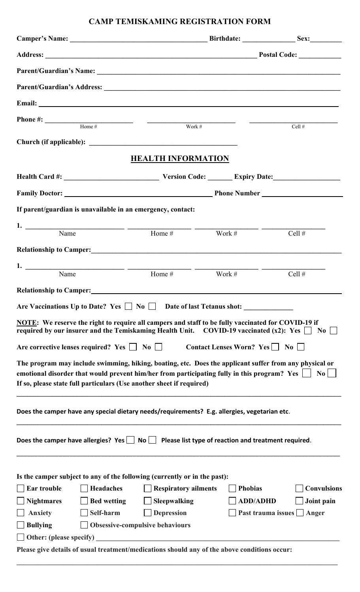## **CAMP TEMISKAMING REGISTRATION FORM**

| Email: <u>Email:</u>                                                                                                                                                                                                                                                                            |                                                    |                                   |                                  |  |  |
|-------------------------------------------------------------------------------------------------------------------------------------------------------------------------------------------------------------------------------------------------------------------------------------------------|----------------------------------------------------|-----------------------------------|----------------------------------|--|--|
| <b>Phone #:</b> $\qquad \qquad \text{Home}\#$ $\qquad \qquad \text{Work}\#$                                                                                                                                                                                                                     |                                                    |                                   | Cell $#$                         |  |  |
|                                                                                                                                                                                                                                                                                                 |                                                    |                                   |                                  |  |  |
|                                                                                                                                                                                                                                                                                                 |                                                    |                                   |                                  |  |  |
|                                                                                                                                                                                                                                                                                                 | <b>HEALTH INFORMATION</b>                          |                                   |                                  |  |  |
|                                                                                                                                                                                                                                                                                                 |                                                    |                                   |                                  |  |  |
| Family Doctor: <u>New York: Phone Number Phone Number</u>                                                                                                                                                                                                                                       |                                                    |                                   |                                  |  |  |
| If parent/guardian is unavailable in an emergency, contact:                                                                                                                                                                                                                                     |                                                    |                                   |                                  |  |  |
| 1. Name $\frac{1}{\text{Name}}$ $\frac{1}{\text{Home #}}$ $\frac{1}{\text{Work #}}$                                                                                                                                                                                                             |                                                    |                                   | Cell #                           |  |  |
|                                                                                                                                                                                                                                                                                                 |                                                    |                                   |                                  |  |  |
|                                                                                                                                                                                                                                                                                                 |                                                    |                                   |                                  |  |  |
| Name                                                                                                                                                                                                                                                                                            | Home #                                             | Work #                            | Cell $#$                         |  |  |
| <b>Relationship to Camper:</b>                                                                                                                                                                                                                                                                  |                                                    |                                   |                                  |  |  |
| Are Vaccinations Up to Date? Yes $\Box$ No $\Box$ Date of last Tetanus shot:                                                                                                                                                                                                                    |                                                    |                                   |                                  |  |  |
| NOTE: We reserve the right to require all campers and staff to be fully vaccinated for COVID-19 if<br>required by our insurer and the Temiskaming Health Unit. COVID-19 vaccinated (x2): Yes $\Box$ No $\Box$                                                                                   |                                                    |                                   |                                  |  |  |
| Are corrective lenses required? Yes $\Box$ No $\Box$                                                                                                                                                                                                                                            |                                                    | Contact Lenses Worn? Yes □ No     |                                  |  |  |
| The program may include swimming, hiking, boating, etc. Does the applicant suffer from any physical or<br>emotional disorder that would prevent him/her from participating fully in this program? Yes<br>N <sub>0</sub><br>If so, please state full particulars (Use another sheet if required) |                                                    |                                   |                                  |  |  |
| Does the camper have any special dietary needs/requirements? E.g. allergies, vegetarian etc.                                                                                                                                                                                                    |                                                    |                                   |                                  |  |  |
| Does the camper have allergies? Yes $\vert$ No $\vert$ Please list type of reaction and treatment required.                                                                                                                                                                                     |                                                    |                                   |                                  |  |  |
| Is the camper subject to any of the following (currently or in the past):                                                                                                                                                                                                                       |                                                    |                                   |                                  |  |  |
| <b>Headaches</b><br><b>Ear trouble</b><br><b>Bed wetting</b><br><b>Nightmares</b>                                                                                                                                                                                                               | $\Box$ Respiratory ailments<br>$\Box$ Sleepwalking | <b>Phobias</b><br><b>ADD/ADHD</b> | <b>Convulsions</b><br>Joint pain |  |  |
| Self-harm<br><b>Anxiety</b>                                                                                                                                                                                                                                                                     | $\Box$ Depression                                  |                                   | Past trauma issues   Anger       |  |  |
| <b>Bullying</b>                                                                                                                                                                                                                                                                                 | <b>Obsessive-compulsive behaviours</b>             |                                   |                                  |  |  |
| <b>Other:</b> (please specify)                                                                                                                                                                                                                                                                  |                                                    |                                   |                                  |  |  |
| Please give details of usual treatment/medications should any of the above conditions occur:                                                                                                                                                                                                    |                                                    |                                   |                                  |  |  |